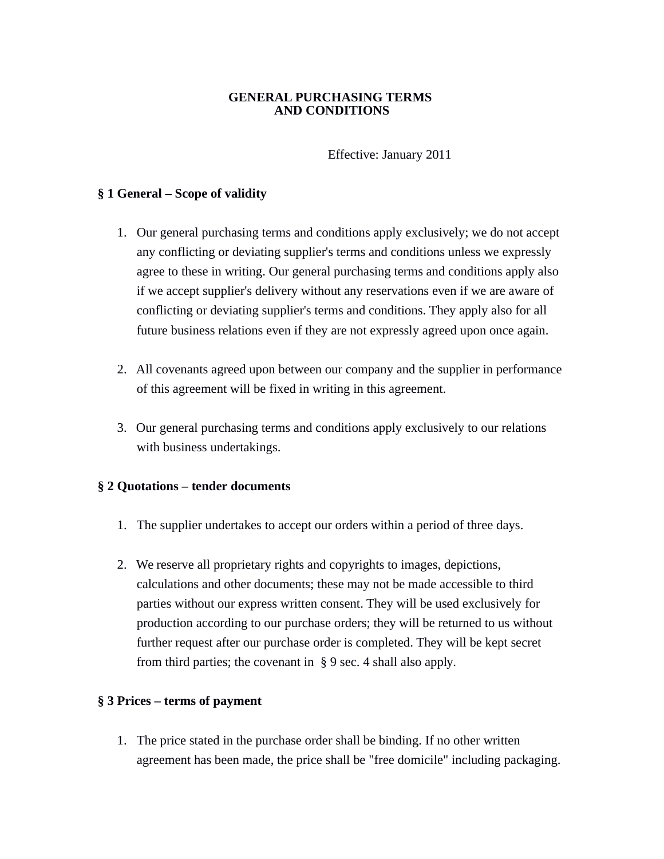#### **GENERAL PURCHASING TERMS AND CONDITIONS**

Effective: January 2011

#### **§ 1 General – Scope of validity**

- 1. Our general purchasing terms and conditions apply exclusively; we do not accept any conflicting or deviating supplier's terms and conditions unless we expressly agree to these in writing. Our general purchasing terms and conditions apply also if we accept supplier's delivery without any reservations even if we are aware of conflicting or deviating supplier's terms and conditions. They apply also for all future business relations even if they are not expressly agreed upon once again.
- 2. All covenants agreed upon between our company and the supplier in performance of this agreement will be fixed in writing in this agreement.
- 3. Our general purchasing terms and conditions apply exclusively to our relations with business undertakings.

### **§ 2 Quotations – tender documents**

- 1. The supplier undertakes to accept our orders within a period of three days.
- 2. We reserve all proprietary rights and copyrights to images, depictions, calculations and other documents; these may not be made accessible to third parties without our express written consent. They will be used exclusively for production according to our purchase orders; they will be returned to us without further request after our purchase order is completed. They will be kept secret from third parties; the covenant in § 9 sec. 4 shall also apply.

### **§ 3 Prices – terms of payment**

1. The price stated in the purchase order shall be binding. If no other written agreement has been made, the price shall be "free domicile" including packaging.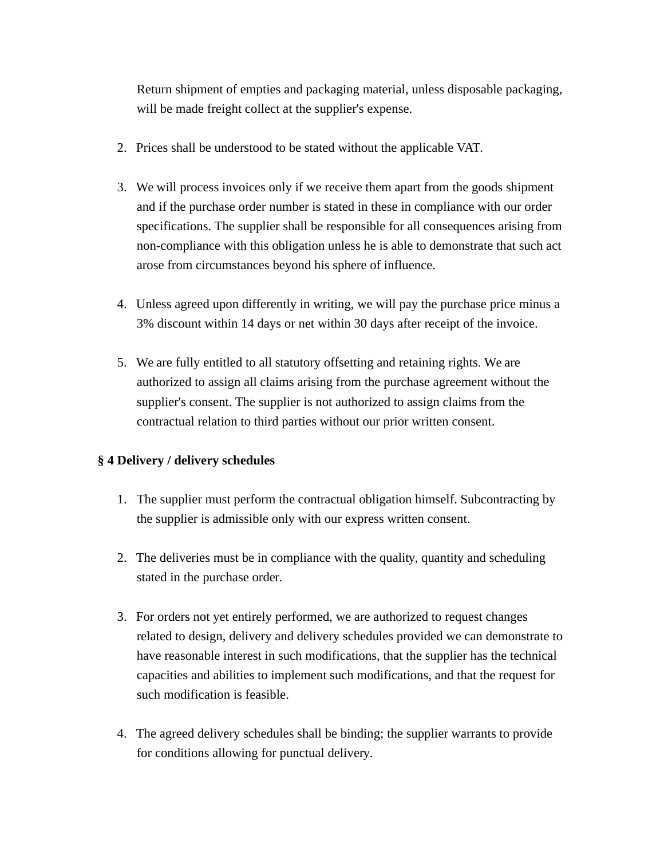Return shipment of empties and packaging material, unless disposable packaging, will be made freight collect at the supplier's expense.

- 2. Prices shall be understood to be stated without the applicable VAT.
- 3. We will process invoices only if we receive them apart from the goods shipment and if the purchase order number is stated in these in compliance with our order specifications. The supplier shall be responsible for all consequences arising from non-compliance with this obligation unless he is able to demonstrate that such act arose from circumstances beyond his sphere of influence.
- 4. Unless agreed upon differently in writing, we will pay the purchase price minus a 3% discount within 14 days or net within 30 days after receipt of the invoice.
- 5. We are fully entitled to all statutory offsetting and retaining rights. We are authorized to assign all claims arising from the purchase agreement without the supplier's consent. The supplier is not authorized to assign claims from the contractual relation to third parties without our prior written consent.

### **§ 4 Delivery / delivery schedules**

- 1. The supplier must perform the contractual obligation himself. Subcontracting by the supplier is admissible only with our express written consent.
- 2. The deliveries must be in compliance with the quality, quantity and scheduling stated in the purchase order.
- 3. For orders not yet entirely performed, we are authorized to request changes related to design, delivery and delivery schedules provided we can demonstrate to have reasonable interest in such modifications, that the supplier has the technical capacities and abilities to implement such modifications, and that the request for such modification is feasible.
- 4. The agreed delivery schedules shall be binding; the supplier warrants to provide for conditions allowing for punctual delivery.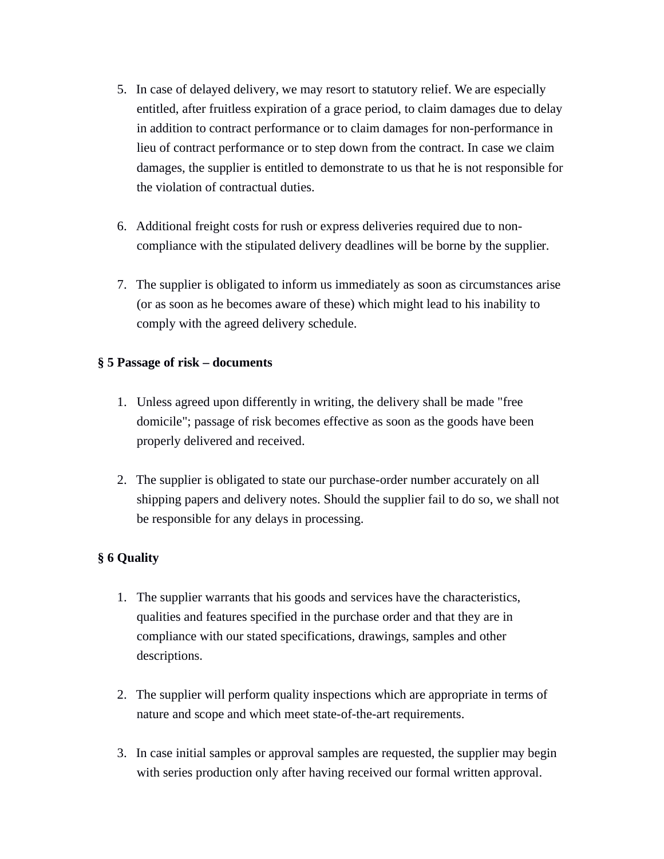- 5. In case of delayed delivery, we may resort to statutory relief. We are especially entitled, after fruitless expiration of a grace period, to claim damages due to delay in addition to contract performance or to claim damages for non-performance in lieu of contract performance or to step down from the contract. In case we claim damages, the supplier is entitled to demonstrate to us that he is not responsible for the violation of contractual duties.
- 6. Additional freight costs for rush or express deliveries required due to noncompliance with the stipulated delivery deadlines will be borne by the supplier.
- 7. The supplier is obligated to inform us immediately as soon as circumstances arise (or as soon as he becomes aware of these) which might lead to his inability to comply with the agreed delivery schedule.

### **§ 5 Passage of risk – documents**

- 1. Unless agreed upon differently in writing, the delivery shall be made "free domicile"; passage of risk becomes effective as soon as the goods have been properly delivered and received.
- 2. The supplier is obligated to state our purchase-order number accurately on all shipping papers and delivery notes. Should the supplier fail to do so, we shall not be responsible for any delays in processing.

# **§ 6 Quality**

- 1. The supplier warrants that his goods and services have the characteristics, qualities and features specified in the purchase order and that they are in compliance with our stated specifications, drawings, samples and other descriptions.
- 2. The supplier will perform quality inspections which are appropriate in terms of nature and scope and which meet state-of-the-art requirements.
- 3. In case initial samples or approval samples are requested, the supplier may begin with series production only after having received our formal written approval.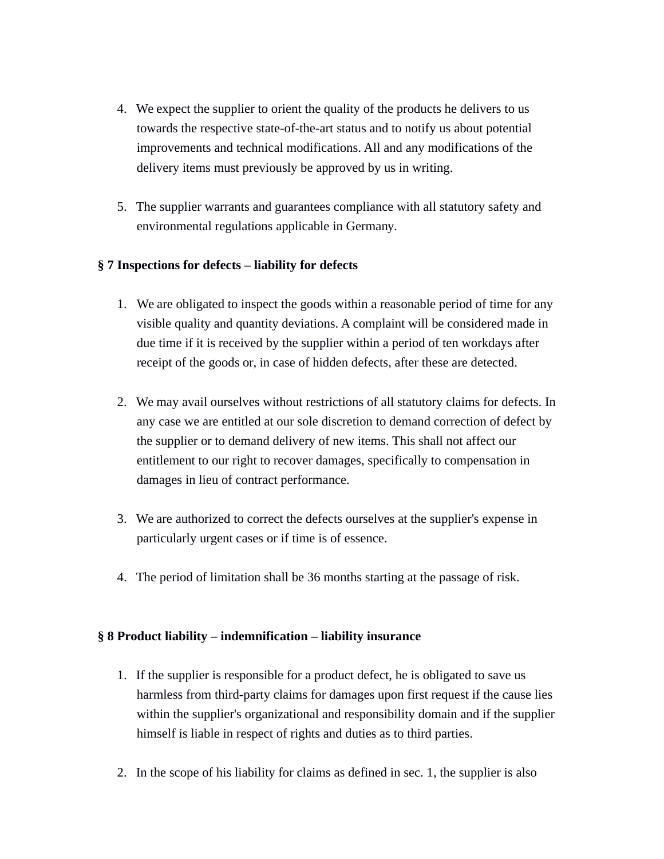- 4. We expect the supplier to orient the quality of the products he delivers to us towards the respective state-of-the-art status and to notify us about potential improvements and technical modifications. All and any modifications of the delivery items must previously be approved by us in writing.
- 5. The supplier warrants and guarantees compliance with all statutory safety and environmental regulations applicable in Germany.

# **§ 7 Inspections for defects – liability for defects**

- 1. We are obligated to inspect the goods within a reasonable period of time for any visible quality and quantity deviations. A complaint will be considered made in due time if it is received by the supplier within a period of ten workdays after receipt of the goods or, in case of hidden defects, after these are detected.
- 2. We may avail ourselves without restrictions of all statutory claims for defects. In any case we are entitled at our sole discretion to demand correction of defect by the supplier or to demand delivery of new items. This shall not affect our entitlement to our right to recover damages, specifically to compensation in damages in lieu of contract performance.
- 3. We are authorized to correct the defects ourselves at the supplier's expense in particularly urgent cases or if time is of essence.
- 4. The period of limitation shall be 36 months starting at the passage of risk.

# **§ 8 Product liability – indemnification – liability insurance**

- 1. If the supplier is responsible for a product defect, he is obligated to save us harmless from third-party claims for damages upon first request if the cause lies within the supplier's organizational and responsibility domain and if the supplier himself is liable in respect of rights and duties as to third parties.
- 2. In the scope of his liability for claims as defined in sec. 1, the supplier is also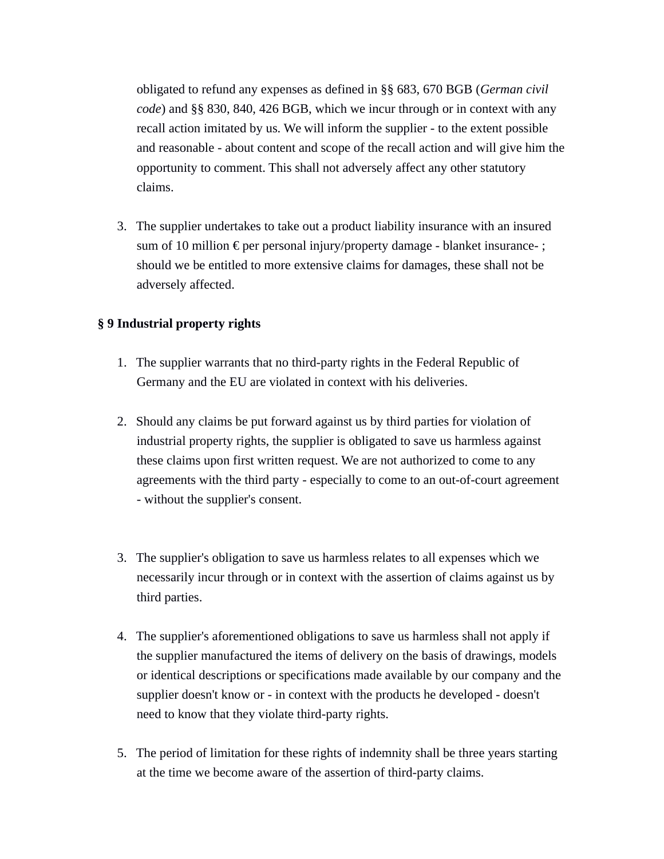obligated to refund any expenses as defined in §§ 683, 670 BGB (*German civil code*) and §§ 830, 840, 426 BGB, which we incur through or in context with any recall action imitated by us. We will inform the supplier - to the extent possible and reasonable - about content and scope of the recall action and will give him the opportunity to comment. This shall not adversely affect any other statutory claims.

3. The supplier undertakes to take out a product liability insurance with an insured sum of 10 million  $\epsilon$  per personal injury/property damage - blanket insurance-; should we be entitled to more extensive claims for damages, these shall not be adversely affected.

### **§ 9 Industrial property rights**

- 1. The supplier warrants that no third-party rights in the Federal Republic of Germany and the EU are violated in context with his deliveries.
- 2. Should any claims be put forward against us by third parties for violation of industrial property rights, the supplier is obligated to save us harmless against these claims upon first written request. We are not authorized to come to any agreements with the third party - especially to come to an out-of-court agreement - without the supplier's consent.
- 3. The supplier's obligation to save us harmless relates to all expenses which we necessarily incur through or in context with the assertion of claims against us by third parties.
- 4. The supplier's aforementioned obligations to save us harmless shall not apply if the supplier manufactured the items of delivery on the basis of drawings, models or identical descriptions or specifications made available by our company and the supplier doesn't know or - in context with the products he developed - doesn't need to know that they violate third-party rights.
- 5. The period of limitation for these rights of indemnity shall be three years starting at the time we become aware of the assertion of third-party claims.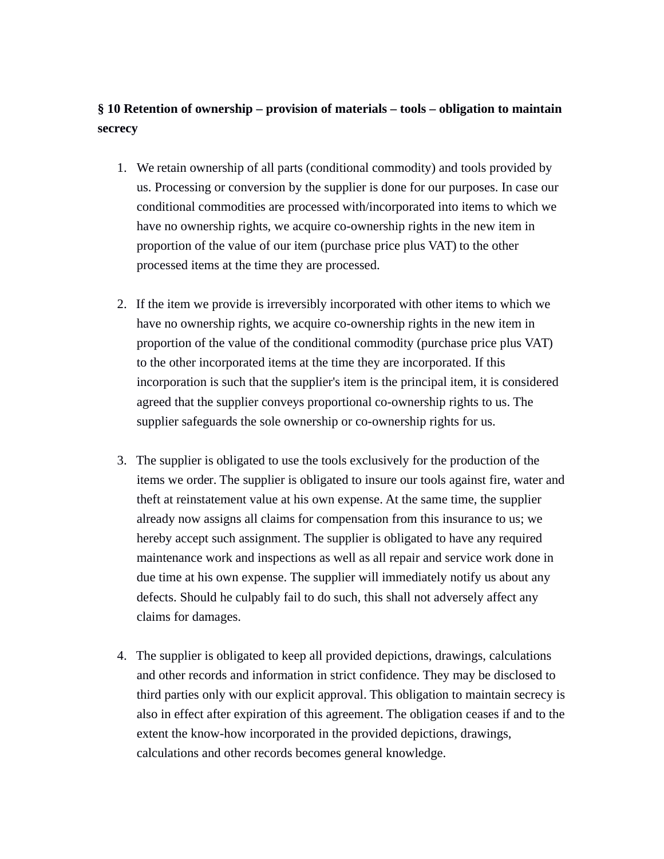# **§ 10 Retention of ownership – provision of materials – tools – obligation to maintain secrecy**

- 1. We retain ownership of all parts (conditional commodity) and tools provided by us. Processing or conversion by the supplier is done for our purposes. In case our conditional commodities are processed with/incorporated into items to which we have no ownership rights, we acquire co-ownership rights in the new item in proportion of the value of our item (purchase price plus VAT) to the other processed items at the time they are processed.
- 2. If the item we provide is irreversibly incorporated with other items to which we have no ownership rights, we acquire co-ownership rights in the new item in proportion of the value of the conditional commodity (purchase price plus VAT) to the other incorporated items at the time they are incorporated. If this incorporation is such that the supplier's item is the principal item, it is considered agreed that the supplier conveys proportional co-ownership rights to us. The supplier safeguards the sole ownership or co-ownership rights for us.
- 3. The supplier is obligated to use the tools exclusively for the production of the items we order. The supplier is obligated to insure our tools against fire, water and theft at reinstatement value at his own expense. At the same time, the supplier already now assigns all claims for compensation from this insurance to us; we hereby accept such assignment. The supplier is obligated to have any required maintenance work and inspections as well as all repair and service work done in due time at his own expense. The supplier will immediately notify us about any defects. Should he culpably fail to do such, this shall not adversely affect any claims for damages.
- 4. The supplier is obligated to keep all provided depictions, drawings, calculations and other records and information in strict confidence. They may be disclosed to third parties only with our explicit approval. This obligation to maintain secrecy is also in effect after expiration of this agreement. The obligation ceases if and to the extent the know-how incorporated in the provided depictions, drawings, calculations and other records becomes general knowledge.